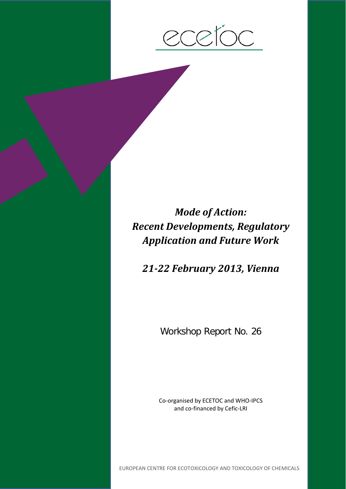$\bigcap$ 

*Mode of Action: Recent Developments, Regulatory Application and Future Work*

*21-22 February 2013, Vienna*

Workshop Report No. 26

Co-organised by ECETOC and WHO-IPCS and co-financed by Cefic-LRI

EUROPEAN CENTRE FOR ECOTOXICOLOGY AND TOXICOLOGY OF CHEMICALS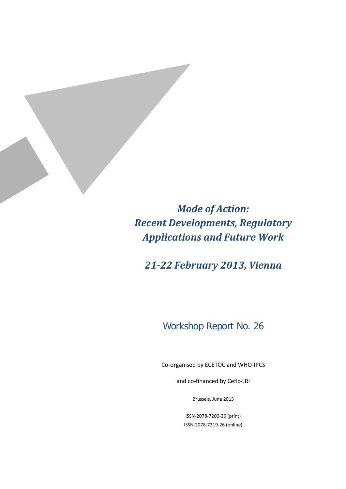*Mode of Action: Recent Developments, Regulatory Applications and Future Work*

*21-22 February 2013, Vienna*

# Workshop Report No. 26

Co-organised by ECETOC and WHO-IPCS

and co-financed by Cefic-LRI

Brussels, June 2013

ISSN-2078-7200-26 (print) ISSN-2078-7219-26 (online)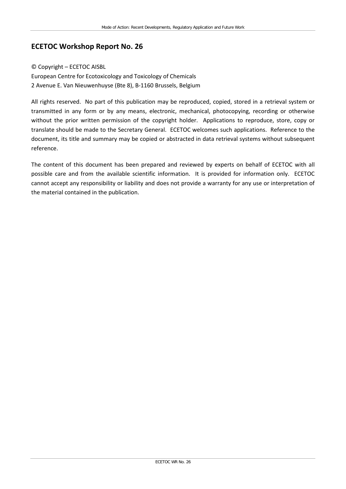## **ECETOC Workshop Report No. 26**

#### © Copyright – ECETOC AISBL

European Centre for Ecotoxicology and Toxicology of Chemicals 2 Avenue E. Van Nieuwenhuyse (Bte 8), B-1160 Brussels, Belgium

All rights reserved. No part of this publication may be reproduced, copied, stored in a retrieval system or transmitted in any form or by any means, electronic, mechanical, photocopying, recording or otherwise without the prior written permission of the copyright holder. Applications to reproduce, store, copy or translate should be made to the Secretary General. ECETOC welcomes such applications. Reference to the document, its title and summary may be copied or abstracted in data retrieval systems without subsequent reference.

The content of this document has been prepared and reviewed by experts on behalf of ECETOC with all possible care and from the available scientific information. It is provided for information only. ECETOC cannot accept any responsibility or liability and does not provide a warranty for any use or interpretation of the material contained in the publication.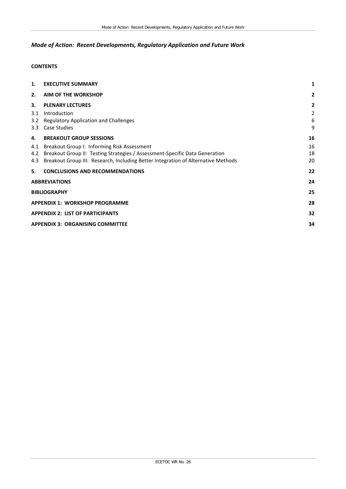### *Mode of Action: Recent Developments, Regulatory Application and Future Work*

### **CONTENTS**

| 1.                                    | <b>EXECUTIVE SUMMARY</b>                                                          | 1              |  |
|---------------------------------------|-----------------------------------------------------------------------------------|----------------|--|
| 2.                                    | <b>AIM OF THE WORKSHOP</b>                                                        | $\overline{2}$ |  |
| 3.                                    | <b>PLENARY LECTURES</b>                                                           | $\overline{2}$ |  |
| 3.1                                   | Introduction                                                                      | $\overline{2}$ |  |
| 3.2                                   | Regulatory Application and Challenges                                             | 6              |  |
| 3.3                                   | Case Studies                                                                      | 9              |  |
| 4.                                    | <b>BREAKOUT GROUP SESSIONS</b>                                                    | 16             |  |
|                                       | 4.1 Breakout Group I: Informing Risk Assessment                                   | 16             |  |
|                                       | 4.2 Breakout Group II: Testing Strategies / Assessment-Specific Data Generation   | 18             |  |
| 4.3                                   | Breakout Group III: Research, Including Better Integration of Alternative Methods | 20             |  |
| 5.                                    | <b>CONCLUSIONS AND RECOMMENDATIONS</b>                                            | 22             |  |
| 24<br><b>ABBREVIATIONS</b>            |                                                                                   |                |  |
| <b>BIBLIOGRAPHY</b>                   |                                                                                   |                |  |
| <b>APPENDIX 1: WORKSHOP PROGRAMME</b> |                                                                                   |                |  |
|                                       | 32<br><b>APPENDIX 2: LIST OF PARTICIPANTS</b>                                     |                |  |
|                                       | <b>APPENDIX 3: ORGANISING COMMITTEE</b><br>34                                     |                |  |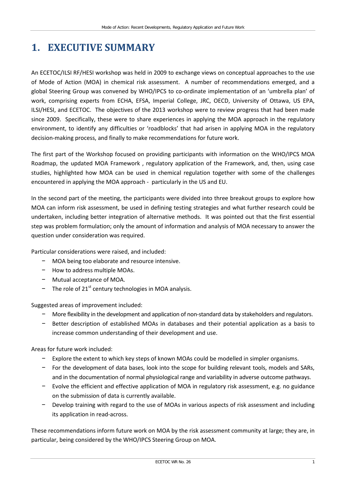# <span id="page-6-0"></span>**1. EXECUTIVE SUMMARY**

An ECETOC/ILSI RF/HESI workshop was held in 2009 to exchange views on conceptual approaches to the use of Mode of Action (MOA) in chemical risk assessment. A number of recommendations emerged, and a global Steering Group was convened by WHO/IPCS to co-ordinate implementation of an 'umbrella plan' of work, comprising experts from ECHA, EFSA, Imperial College, JRC, OECD, University of Ottawa, US EPA, ILSI/HESI, and ECETOC. The objectives of the 2013 workshop were to review progress that had been made since 2009. Specifically, these were to share experiences in applying the MOA approach in the regulatory environment, to identify any difficulties or 'roadblocks' that had arisen in applying MOA in the regulatory decision-making process, and finally to make recommendations for future work.

The first part of the Workshop focused on providing participants with information on the WHO/IPCS MOA Roadmap, the updated MOA Framework , regulatory application of the Framework, and, then, using case studies, highlighted how MOA can be used in chemical regulation together with some of the challenges encountered in applying the MOA approach - particularly in the US and EU.

In the second part of the meeting, the participants were divided into three breakout groups to explore how MOA can inform risk assessment, be used in defining testing strategies and what further research could be undertaken, including better integration of alternative methods. It was pointed out that the first essential step was problem formulation; only the amount of information and analysis of MOA necessary to answer the question under consideration was required.

Particular considerations were raised, and included:

- − MOA being too elaborate and resource intensive.
- − How to address multiple MOAs.
- − Mutual acceptance of MOA.
- − The role of 21<sup>st</sup> century technologies in MOA analysis.

Suggested areas of improvement included:

- − More flexibility in the development and application of non-standard data by stakeholders and regulators.
- − Better description of established MOAs in databases and their potential application as a basis to increase common understanding of their development and use.

Areas for future work included:

- − Explore the extent to which key steps of known MOAs could be modelled in simpler organisms.
- − For the development of data bases, look into the scope for building relevant tools, models and SARs, and in the documentation of normal physiological range and variability in adverse outcome pathways.
- − Evolve the efficient and effective application of MOA in regulatory risk assessment, e.g. no guidance on the submission of data is currently available.
- − Develop training with regard to the use of MOAs in various aspects of risk assessment and including its application in read-across.

These recommendations inform future work on MOA by the risk assessment community at large; they are, in particular, being considered by the WHO/IPCS Steering Group on MOA.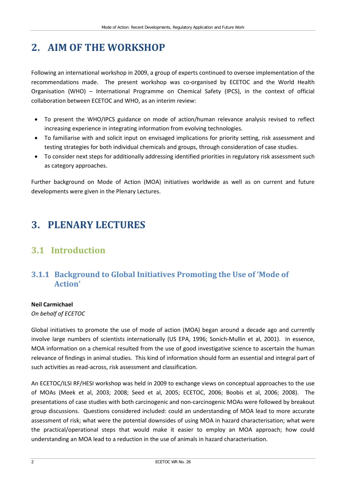# <span id="page-7-0"></span>**2. AIM OF THE WORKSHOP**

Following an international workshop in 2009, a group of experts continued to oversee implementation of the recommendations made. The present workshop was co-organised by ECETOC and the World Health Organisation (WHO) – International Programme on Chemical Safety (IPCS), in the context of official collaboration between ECETOC and WHO, as an interim review:

- To present the WHO/IPCS guidance on mode of action/human relevance analysis revised to reflect increasing experience in integrating information from evolving technologies.
- To familiarise with and solicit input on envisaged implications for priority setting, risk assessment and testing strategies for both individual chemicals and groups, through consideration of case studies.
- To consider next steps for additionally addressing identified priorities in regulatory risk assessment such as category approaches.

Further background on Mode of Action (MOA) initiatives worldwide as well as on current and future developments were given in the Plenary Lectures.

# <span id="page-7-1"></span>**3. PLENARY LECTURES**

# <span id="page-7-2"></span>**3.1 Introduction**

## **3.1.1 Background to Global Initiatives Promoting the Use of 'Mode of Action'**

### **Neil Carmichael**

*On behalf of ECETOC*

Global initiatives to promote the use of mode of action (MOA) began around a decade ago and currently involve large numbers of scientists internationally (US EPA, 1996; Sonich-Mullin et al, 2001). In essence, MOA information on a chemical resulted from the use of good investigative science to ascertain the human relevance of findings in animal studies. This kind of information should form an essential and integral part of such activities as read-across, risk assessment and classification.

An ECETOC/ILSI RF/HESI workshop was held in 2009 to exchange views on conceptual approaches to the use of MOAs (Meek et al, 2003; 2008; Seed et al, 2005; ECETOC, 2006; Boobis et al, 2006; 2008). The presentations of case studies with both carcinogenic and non-carcinogenic MOAs were followed by breakout group discussions. Questions considered included: could an understanding of MOA lead to more accurate assessment of risk; what were the potential downsides of using MOA in hazard characterisation; what were the practical/operational steps that would make it easier to employ an MOA approach; how could understanding an MOA lead to a reduction in the use of animals in hazard characterisation.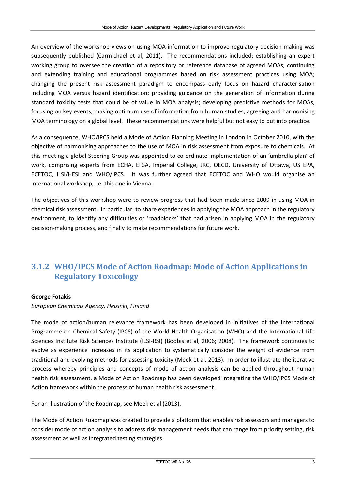An overview of the workshop views on using MOA information to improve regulatory decision-making was subsequently published (Carmichael et al, 2011). The recommendations included: establishing an expert working group to oversee the creation of a repository or reference database of agreed MOAs; continuing and extending training and educational programmes based on risk assessment practices using MOA; changing the present risk assessment paradigm to encompass early focus on hazard characterisation including MOA versus hazard identification; providing guidance on the generation of information during standard toxicity tests that could be of value in MOA analysis; developing predictive methods for MOAs, focusing on key events; making optimum use of information from human studies; agreeing and harmonising MOA terminology on a global level. These recommendations were helpful but not easy to put into practice.

As a consequence, WHO/IPCS held a Mode of Action Planning Meeting in London in October 2010, with the objective of harmonising approaches to the use of MOA in risk assessment from exposure to chemicals. At this meeting a global Steering Group was appointed to co-ordinate implementation of an 'umbrella plan' of work, comprising experts from ECHA, EFSA, Imperial College, JRC, OECD, University of Ottawa, US EPA, ECETOC, ILSI/HESI and WHO/IPCS. It was further agreed that ECETOC and WHO would organise an international workshop, i.e. this one in Vienna.

The objectives of this workshop were to review progress that had been made since 2009 in using MOA in chemical risk assessment. In particular, to share experiences in applying the MOA approach in the regulatory environment, to identify any difficulties or 'roadblocks' that had arisen in applying MOA in the regulatory decision-making process, and finally to make recommendations for future work.

## **3.1.2 WHO/IPCS Mode of Action Roadmap: Mode of Action Applications in Regulatory Toxicology**

#### **George Fotakis**

*European Chemicals Agency, Helsinki, Finland*

The mode of action/human relevance framework has been developed in initiatives of the International Programme on Chemical Safety (IPCS) of the World Health Organisation (WHO) and the International Life Sciences Institute Risk Sciences Institute (ILSI-RSI) (Boobis et al, 2006; 2008). The framework continues to evolve as experience increases in its application to systematically consider the weight of evidence from traditional and evolving methods for assessing toxicity (Meek et al, 2013). In order to illustrate the iterative process whereby principles and concepts of mode of action analysis can be applied throughout human health risk assessment, a Mode of Action Roadmap has been developed integrating the WHO/IPCS Mode of Action framework within the process of human health risk assessment.

For an illustration of the Roadmap, see Meek et al (2013).

The Mode of Action Roadmap was created to provide a platform that enables risk assessors and managers to consider mode of action analysis to address risk management needs that can range from priority setting, risk assessment as well as integrated testing strategies.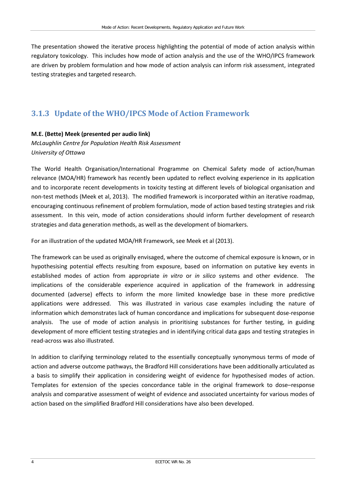The presentation showed the iterative process highlighting the potential of mode of action analysis within regulatory toxicology. This includes how mode of action analysis and the use of the WHO/IPCS framework are driven by problem formulation and how mode of action analysis can inform risk assessment, integrated testing strategies and targeted research.

# **3.1.3 Update of the WHO/IPCS Mode of Action Framework**

### **M.E. (Bette) Meek (presented per audio link)**

*McLaughlin Centre for Population Health Risk Assessment University of Ottawa*

The World Health Organisation/International Programme on Chemical Safety mode of action/human relevance (MOA/HR) framework has recently been updated to reflect evolving experience in its application and to incorporate recent developments in toxicity testing at different levels of biological organisation and non-test methods (Meek et al, 2013). The modified framework is incorporated within an iterative roadmap, encouraging continuous refinement of problem formulation, mode of action based testing strategies and risk assessment. In this vein, mode of action considerations should inform further development of research strategies and data generation methods, as well as the development of biomarkers.

For an illustration of the updated MOA/HR Framework, see Meek et al (2013).

The framework can be used as originally envisaged, where the outcome of chemical exposure is known, or in hypothesising potential effects resulting from exposure, based on information on putative key events in established modes of action from appropriate *in vitro* or *in silico* systems and other evidence. The implications of the considerable experience acquired in application of the framework in addressing documented (adverse) effects to inform the more limited knowledge base in these more predictive applications were addressed. This was illustrated in various case examples including the nature of information which demonstrates lack of human concordance and implications for subsequent dose-response analysis. The use of mode of action analysis in prioritising substances for further testing, in guiding development of more efficient testing strategies and in identifying critical data gaps and testing strategies in read-across was also illustrated.

In addition to clarifying terminology related to the essentially conceptually synonymous terms of mode of action and adverse outcome pathways, the Bradford Hill considerations have been additionally articulated as a basis to simplify their application in considering weight of evidence for hypothesised modes of action. Templates for extension of the species concordance table in the original framework to dose–response analysis and comparative assessment of weight of evidence and associated uncertainty for various modes of action based on the simplified Bradford Hill considerations have also been developed.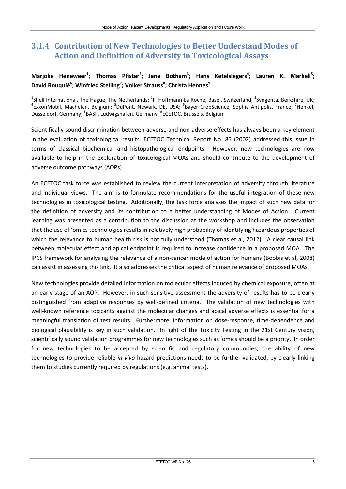## **3.1.4 Contribution of New Technologies to Better Understand Modes of Action and Definition of Adversity in Toxicological Assays**

## Marjoke Heneweer<sup>1</sup>; Thomas Pfister<sup>2</sup>; Jane Botham<sup>3</sup>; Hans Ketelslegers<sup>4</sup>; Lauren K. Markell<sup>5</sup>; **David Rouquié6 ; Winfried Steiling<sup>7</sup> ; Volker Strauss<sup>8</sup> ; Christa Hennes<sup>9</sup>**

<sup>1</sup>Shell International, The Hague, The Netherlands; <sup>2</sup>F. Hoffmann-La Roche, Basel, Switzerland; <sup>3</sup>Syngenta, Berkshire, UK;<br><sup>4</sup>EwsonMabil, Mashelan, Belgium: <sup>5</sup>DuBant, Nawark, PE, USA: <sup>6</sup>Bayar CranSciance, Saphia Antipo ExxonMobil, Machelen, Belgium; <sup>5</sup>DuPont, Newark, DE, USA; <sup>6</sup>Bayer CropScience, Sophia Antipolis, France; <sup>7</sup>Henkel, Düsseldorf, Germany; <sup>8</sup>BASF, Ludwigshafen, Germany; <sup>9</sup>ECETOC, Brussels, Belgium

Scientifically sound discrimination between adverse and non-adverse effects has always been a key element in the evaluation of toxicological results. ECETOC Technical Report No. 85 (2002) addressed this issue in terms of classical biochemical and histopathological endpoints. However, new technologies are now available to help in the exploration of toxicological MOAs and should contribute to the development of adverse outcome pathways (AOPs).

An ECETOC task force was established to review the current interpretation of adversity through literature and individual views. The aim is to formulate recommendations for the useful integration of these new technologies in toxicological testing. Additionally, the task force analyses the impact of such new data for the definition of adversity and its contribution to a better understanding of Modes of Action. Current learning was presented as a contribution to the discussion at the workshop and includes the observation that the use of 'omics technologies results in relatively high probability of identifying hazardous properties of which the relevance to human health risk is not fully understood (Thomas et al, 2012). A clear causal link between molecular effect and apical endpoint is required to increase confidence in a proposed MOA. The IPCS framework for analysing the relevance of a non-cancer mode of action for humans (Boobis et al, 2008) can assist in assessing this link. It also addresses the critical aspect of human relevance of proposed MOAs.

New technologies provide detailed information on molecular effects induced by chemical exposure, often at an early stage of an AOP. However, in such sensitive assessment the adversity of results has to be clearly distinguished from adaptive responses by well-defined criteria. The validation of new technologies with well-known reference toxicants against the molecular changes and apical adverse effects is essential for a meaningful translation of test results. Furthermore, information on dose-response, time-dependence and biological plausibility is key in such validation. In light of the Toxicity Testing in the 21st Century vision, scientifically sound validation programmes for new technologies such as 'omics should be a priority. In order for new technologies to be accepted by scientific and regulatory communities, the ability of new technologies to provide reliable *in vivo* hazard predictions needs to be further validated, by clearly linking them to studies currently required by regulations (e.g. animal tests).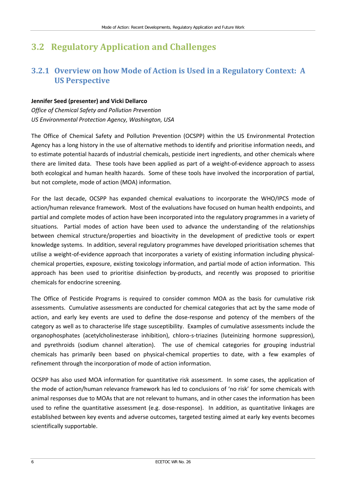# <span id="page-11-0"></span>**3.2 Regulatory Application and Challenges**

## **3.2.1 Overview on how Mode of Action is Used in a Regulatory Context: A US Perspective**

### **Jennifer Seed (presenter) and Vicki Dellarco**

*Office of Chemical Safety and Pollution Prevention US Environmental Protection Agency, Washington, USA*

The Office of Chemical Safety and Pollution Prevention (OCSPP) within the US Environmental Protection Agency has a long history in the use of alternative methods to identify and prioritise information needs, and to estimate potential hazards of industrial chemicals, pesticide inert ingredients, and other chemicals where there are limited data. These tools have been applied as part of a weight-of-evidence approach to assess both ecological and human health hazards. Some of these tools have involved the incorporation of partial, but not complete, mode of action (MOA) information.

For the last decade, OCSPP has expanded chemical evaluations to incorporate the WHO/IPCS mode of action/human relevance framework. Most of the evaluations have focused on human health endpoints, and partial and complete modes of action have been incorporated into the regulatory programmes in a variety of situations. Partial modes of action have been used to advance the understanding of the relationships between chemical structure/properties and bioactivity in the development of predictive tools or expert knowledge systems. In addition, several regulatory programmes have developed prioritisation schemes that utilise a weight-of-evidence approach that incorporates a variety of existing information including physicalchemical properties, exposure, existing toxicology information, and partial mode of action information. This approach has been used to prioritise disinfection by-products, and recently was proposed to prioritise chemicals for endocrine screening.

The Office of Pesticide Programs is required to consider common MOA as the basis for cumulative risk assessments. Cumulative assessments are conducted for chemical categories that act by the same mode of action, and early key events are used to define the dose-response and potency of the members of the category as well as to characterise life stage susceptibility. Examples of cumulative assessments include the organophosphates (acetylcholinesterase inhibition), chloro-s-triazines (luteinizing hormone suppression), and pyrethroids (sodium channel alteration). The use of chemical categories for grouping industrial chemicals has primarily been based on physical-chemical properties to date, with a few examples of refinement through the incorporation of mode of action information.

OCSPP has also used MOA information for quantitative risk assessment. In some cases, the application of the mode of action/human relevance framework has led to conclusions of 'no risk' for some chemicals with animal responses due to MOAs that are not relevant to humans, and in other cases the information has been used to refine the quantitative assessment (e.g. dose-response). In addition, as quantitative linkages are established between key events and adverse outcomes, targeted testing aimed at early key events becomes scientifically supportable.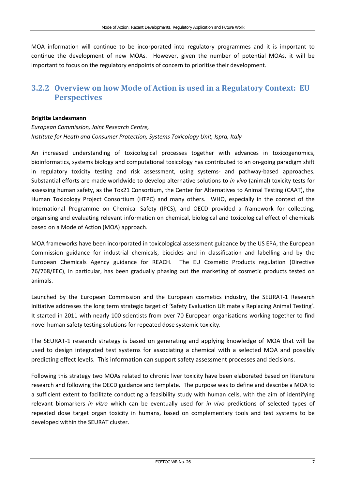MOA information will continue to be incorporated into regulatory programmes and it is important to continue the development of new MOAs. However, given the number of potential MOAs, it will be important to focus on the regulatory endpoints of concern to prioritise their development.

## **3.2.2 Overview on how Mode of Action is used in a Regulatory Context: EU Perspectives**

#### **Brigitte Landesmann**

*European Commission, Joint Research Centre, Institute for Heath and Consumer Protection, Systems Toxicology Unit, Ispra, Italy*

An increased understanding of toxicological processes together with advances in toxicogenomics, bioinformatics, systems biology and computational toxicology has contributed to an on-going paradigm shift in regulatory toxicity testing and risk assessment, using systems- and pathway-based approaches. Substantial efforts are made worldwide to develop alternative solutions to *in vivo* (animal) toxicity tests for assessing human safety, as the Tox21 Consortium, the Center for Alternatives to Animal Testing (CAAT), the Human Toxicology Project Consortium (HTPC) and many others. WHO, especially in the context of the International Programme on Chemical Safety (IPCS), and OECD provided a framework for collecting, organising and evaluating relevant information on chemical, biological and toxicological effect of chemicals based on a Mode of Action (MOA) approach.

MOA frameworks have been incorporated in toxicological assessment guidance by the US EPA, the European Commission guidance for industrial chemicals, biocides and in classification and labelling and by the European Chemicals Agency guidance for REACH. The EU Cosmetic Products regulation (Directive 76/768/EEC), in particular, has been gradually phasing out the marketing of cosmetic products tested on animals.

Launched by the European Commission and the European cosmetics industry, the SEURAT-1 Research Initiative addresses the long term strategic target of 'Safety Evaluation Ultimately Replacing Animal Testing'. It started in 2011 with nearly 100 scientists from over 70 European organisations working together to find novel human safety testing solutions for repeated dose systemic toxicity.

The SEURAT-1 research strategy is based on generating and applying knowledge of MOA that will be used to design integrated test systems for associating a chemical with a selected MOA and possibly predicting effect levels. This information can support safety assessment processes and decisions.

Following this strategy two MOAs related to chronic liver toxicity have been elaborated based on literature research and following the OECD guidance and template. The purpose was to define and describe a MOA to a sufficient extent to facilitate conducting a feasibility study with human cells, with the aim of identifying relevant biomarkers *in vitro* which can be eventually used for *in vivo* predictions of selected types of repeated dose target organ toxicity in humans, based on complementary tools and test systems to be developed within the SEURAT cluster.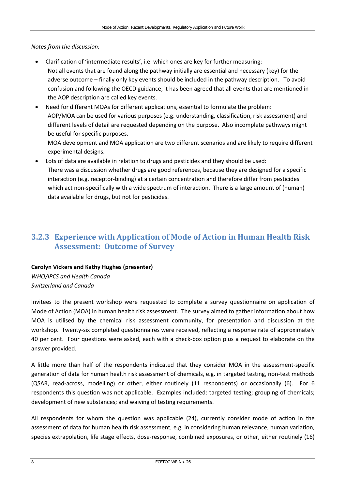*Notes from the discussion:*

- Clarification of 'intermediate results', i.e. which ones are key for further measuring: Not all events that are found along the pathway initially are essential and necessary (key) for the adverse outcome – finally only key events should be included in the pathway description. To avoid confusion and following the OECD guidance, it has been agreed that all events that are mentioned in the AOP description are called key events.
- Need for different MOAs for different applications, essential to formulate the problem: AOP/MOA can be used for various purposes (e.g. understanding, classification, risk assessment) and different levels of detail are requested depending on the purpose. Also incomplete pathways might be useful for specific purposes.

MOA development and MOA application are two different scenarios and are likely to require different experimental designs.

• Lots of data are available in relation to drugs and pesticides and they should be used: There was a discussion whether drugs are good references, because they are designed for a specific interaction (e.g. receptor-binding) at a certain concentration and therefore differ from pesticides which act non-specifically with a wide spectrum of interaction. There is a large amount of (human) data available for drugs, but not for pesticides.

## **3.2.3 Experience with Application of Mode of Action in Human Health Risk Assessment: Outcome of Survey**

### **Carolyn Vickers and Kathy Hughes (presenter)**

*WHO/IPCS and Health Canada Switzerland and Canada*

Invitees to the present workshop were requested to complete a survey questionnaire on application of Mode of Action (MOA) in human health risk assessment. The survey aimed to gather information about how MOA is utilised by the chemical risk assessment community, for presentation and discussion at the workshop. Twenty-six completed questionnaires were received, reflecting a response rate of approximately 40 per cent. Four questions were asked, each with a check-box option plus a request to elaborate on the answer provided.

A little more than half of the respondents indicated that they consider MOA in the assessment-specific generation of data for human health risk assessment of chemicals, e.g. in targeted testing, non-test methods (QSAR, read-across, modelling) or other, either routinely (11 respondents) or occasionally (6). For 6 respondents this question was not applicable. Examples included: targeted testing; grouping of chemicals; development of new substances; and waiving of testing requirements.

All respondents for whom the question was applicable (24), currently consider mode of action in the assessment of data for human health risk assessment, e.g. in considering human relevance, human variation, species extrapolation, life stage effects, dose-response, combined exposures, or other, either routinely (16)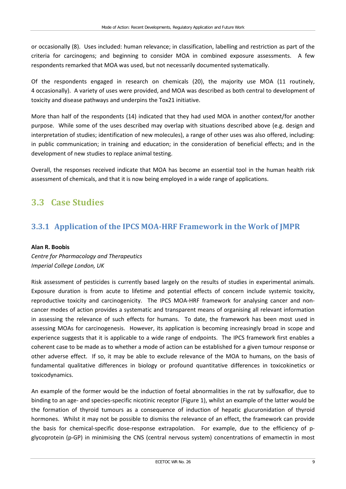or occasionally (8). Uses included: human relevance; in classification, labelling and restriction as part of the criteria for carcinogens; and beginning to consider MOA in combined exposure assessments. A few respondents remarked that MOA was used, but not necessarily documented systematically.

Of the respondents engaged in research on chemicals (20), the majority use MOA (11 routinely, 4 occasionally). A variety of uses were provided, and MOA was described as both central to development of toxicity and disease pathways and underpins the Tox21 initiative.

More than half of the respondents (14) indicated that they had used MOA in another context/for another purpose. While some of the uses described may overlap with situations described above (e.g. design and interpretation of studies; identification of new molecules), a range of other uses was also offered, including: in public communication; in training and education; in the consideration of beneficial effects; and in the development of new studies to replace animal testing.

Overall, the responses received indicate that MOA has become an essential tool in the human health risk assessment of chemicals, and that it is now being employed in a wide range of applications.

# <span id="page-14-0"></span>**3.3 Case Studies**

# **3.3.1 Application of the IPCS MOA-HRF Framework in the Work of JMPR**

#### **Alan R. Boobis**

*Centre for Pharmacology and Therapeutics Imperial College London, UK*

Risk assessment of pesticides is currently based largely on the results of studies in experimental animals. Exposure duration is from acute to lifetime and potential effects of concern include systemic toxicity, reproductive toxicity and carcinogenicity. The IPCS MOA-HRF framework for analysing cancer and noncancer modes of action provides a systematic and transparent means of organising all relevant information in assessing the relevance of such effects for humans. To date, the framework has been most used in assessing MOAs for carcinogenesis. However, its application is becoming increasingly broad in scope and experience suggests that it is applicable to a wide range of endpoints. The IPCS framework first enables a coherent case to be made as to whether a mode of action can be established for a given tumour response or other adverse effect. If so, it may be able to exclude relevance of the MOA to humans, on the basis of fundamental qualitative differences in biology or profound quantitative differences in toxicokinetics or toxicodynamics.

An example of the former would be the induction of foetal abnormalities in the rat by sulfoxaflor, due to binding to an age- and species-specific nicotinic receptor (Figure 1), whilst an example of the latter would be the formation of thyroid tumours as a consequence of induction of hepatic glucuronidation of thyroid hormones. Whilst it may not be possible to dismiss the relevance of an effect, the framework can provide the basis for chemical-specific dose-response extrapolation. For example, due to the efficiency of pglycoprotein (p-GP) in minimising the CNS (central nervous system) concentrations of emamectin in most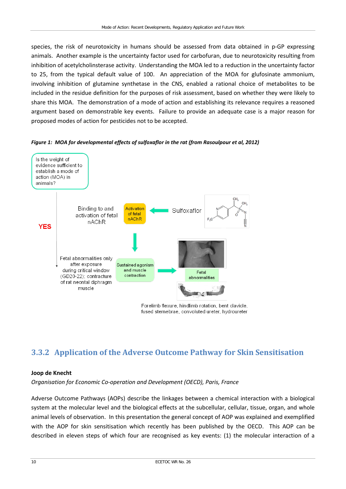species, the risk of neurotoxicity in humans should be assessed from data obtained in p-GP expressing animals. Another example is the uncertainty factor used for carbofuran, due to neurotoxicity resulting from inhibition of acetylcholinsterase activity. Understanding the MOA led to a reduction in the uncertainty factor to 25, from the typical default value of 100. An appreciation of the MOA for glufosinate ammonium, involving inhibition of glutamine synthetase in the CNS, enabled a rational choice of metabolites to be included in the residue definition for the purposes of risk assessment, based on whether they were likely to share this MOA. The demonstration of a mode of action and establishing its relevance requires a reasoned argument based on demonstrable key events. Failure to provide an adequate case is a major reason for proposed modes of action for pesticides not to be accepted.





# **3.3.2 Application of the Adverse Outcome Pathway for Skin Sensitisation**

### **Joop de Knecht**

*Organisation for Economic Co-operation and Development (OECD), Paris, France*

Adverse Outcome Pathways (AOPs) describe the linkages between a chemical interaction with a biological system at the molecular level and the biological effects at the subcellular, cellular, tissue, organ, and whole animal levels of observation. In this presentation the general concept of AOP was explained and exemplified with the AOP for skin sensitisation which recently has been published by the OECD. This AOP can be described in eleven steps of which four are recognised as key events: (1) the molecular interaction of a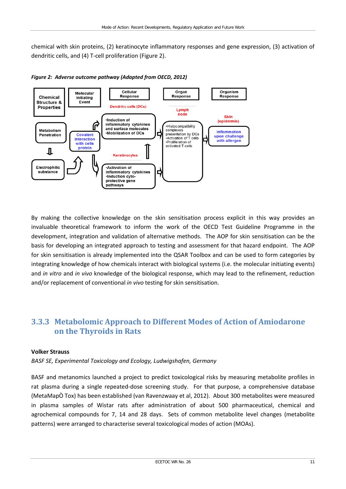chemical with skin proteins, (2) keratinocyte inflammatory responses and gene expression, (3) activation of dendritic cells, and (4) T-cell proliferation (Figure 2).



*Figure 2: Adverse outcome pathway (Adapted from OECD, 2012)*

By making the collective knowledge on the skin sensitisation process explicit in this way provides an invaluable theoretical framework to inform the work of the OECD Test Guideline Programme in the development, integration and validation of alternative methods. The AOP for skin sensitisation can be the basis for developing an integrated approach to testing and assessment for that hazard endpoint. The AOP for skin sensitisation is already implemented into the QSAR Toolbox and can be used to form categories by integrating knowledge of how chemicals interact with biological systems (i.e. the molecular initiating events) and *in vitro* and *in vivo* knowledge of the biological response, which may lead to the refinement, reduction and/or replacement of conventional *in vivo* testing for skin sensitisation.

## **3.3.3 Metabolomic Approach to Different Modes of Action of Amiodarone on the Thyroids in Rats**

### **Volker Strauss**

*BASF SE, Experimental Toxicology and Ecology, Ludwigshafen, Germany*

BASF and metanomics launched a project to predict toxicological risks by measuring metabolite profiles in rat plasma during a single repeated-dose screening study. For that purpose, a comprehensive database (MetaMapÒ Tox) has been established (van Ravenzwaay et al, 2012). About 300 metabolites were measured in plasma samples of Wistar rats after administration of about 500 pharmaceutical, chemical and agrochemical compounds for 7, 14 and 28 days. Sets of common metabolite level changes (metabolite patterns) were arranged to characterise several toxicological modes of action (MOAs).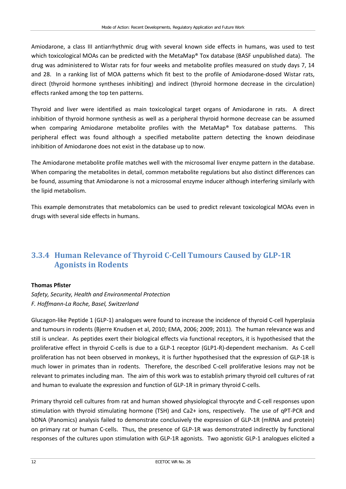Amiodarone, a class III antiarrhythmic drug with several known side effects in humans, was used to test which toxicological MOAs can be predicted with the MetaMap® Tox database (BASF unpublished data). The drug was administered to Wistar rats for four weeks and metabolite profiles measured on study days 7, 14 and 28. In a ranking list of MOA patterns which fit best to the profile of Amiodarone-dosed Wistar rats, direct (thyroid hormone syntheses inhibiting) and indirect (thyroid hormone decrease in the circulation) effects ranked among the top ten patterns.

Thyroid and liver were identified as main toxicological target organs of Amiodarone in rats. A direct inhibition of thyroid hormone synthesis as well as a peripheral thyroid hormone decrease can be assumed when comparing Amiodarone metabolite profiles with the MetaMap® Tox database patterns. This peripheral effect was found although a specified metabolite pattern detecting the known deiodinase inhibition of Amiodarone does not exist in the database up to now.

The Amiodarone metabolite profile matches well with the microsomal liver enzyme pattern in the database. When comparing the metabolites in detail, common metabolite regulations but also distinct differences can be found, assuming that Amiodarone is not a microsomal enzyme inducer although interfering similarly with the lipid metabolism.

This example demonstrates that metabolomics can be used to predict relevant toxicological MOAs even in drugs with several side effects in humans.

## **3.3.4 Human Relevance of Thyroid C-Cell Tumours Caused by GLP-1R Agonists in Rodents**

### **Thomas Pfister**

*Safety, Security, Health and Environmental Protection F. Hoffmann-La Roche, Basel, Switzerland*

Glucagon-like Peptide 1 (GLP-1) analogues were found to increase the incidence of thyroid C-cell hyperplasia and tumours in rodents (Bjerre Knudsen et al, 2010; EMA, 2006; 2009; 2011). The human relevance was and still is unclear. As peptides exert their biological effects via functional receptors, it is hypothesised that the proliferative effect in thyroid C-cells is due to a GLP-1 receptor (GLP1-R)-dependent mechanism. As C-cell proliferation has not been observed in monkeys, it is further hypothesised that the expression of GLP-1R is much lower in primates than in rodents. Therefore, the described C-cell proliferative lesions may not be relevant to primates including man. The aim of this work was to establish primary thyroid cell cultures of rat and human to evaluate the expression and function of GLP-1R in primary thyroid C-cells.

Primary thyroid cell cultures from rat and human showed physiological thyrocyte and C-cell responses upon stimulation with thyroid stimulating hormone (TSH) and Ca2+ ions, respectively. The use of qPT-PCR and bDNA (Panomics) analysis failed to demonstrate conclusively the expression of GLP-1R (mRNA and protein) on primary rat or human C-cells. Thus, the presence of GLP-1R was demonstrated indirectly by functional responses of the cultures upon stimulation with GLP-1R agonists. Two agonistic GLP-1 analogues elicited a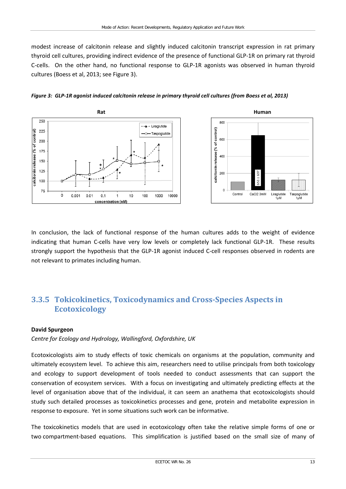modest increase of calcitonin release and slightly induced calcitonin transcript expression in rat primary thyroid cell cultures, providing indirect evidence of the presence of functional GLP-1R on primary rat thyroid C-cells. On the other hand, no functional response to GLP-1R agonists was observed in human thyroid cultures (Boess et al, 2013; see Figure 3).





#### *Figure 3: GLP-1R agonist induced calcitonin release in primary thyroid cell cultures (from Boess et al, 2013)*

In conclusion, the lack of functional response of the human cultures adds to the weight of evidence indicating that human C-cells have very low levels or completely lack functional GLP-1R. These results strongly support the hypothesis that the GLP-1R agonist induced C-cell responses observed in rodents are not relevant to primates including human.

## **3.3.5 Tokicokinetics, Toxicodynamics and Cross-Species Aspects in Ecotoxicology**

#### **David Spurgeon**

*Centre for Ecology and Hydrology, Wallingford, Oxfordshire, UK*

Ecotoxicologists aim to study effects of toxic chemicals on organisms at the population, community and ultimately ecosystem level. To achieve this aim, researchers need to utilise principals from both toxicology and ecology to support development of tools needed to conduct assessments that can support the conservation of ecosystem services. With a focus on investigating and ultimately predicting effects at the level of organisation above that of the individual, it can seem an anathema that ecotoxicologists should study such detailed processes as toxicokinetics processes and gene, protein and metabolite expression in response to exposure. Yet in some situations such work can be informative.

The toxicokinetics models that are used in ecotoxicology often take the relative simple forms of one or two compartment-based equations. This simplification is justified based on the small size of many of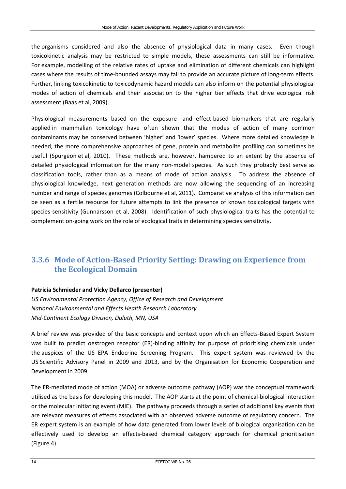the organisms considered and also the absence of physiological data in many cases. Even though toxicokinetic analysis may be restricted to simple models, these assessments can still be informative. For example, modelling of the relative rates of uptake and elimination of different chemicals can highlight cases where the results of time-bounded assays may fail to provide an accurate picture of long-term effects. Further, linking toxicokinetic to toxicodynamic hazard models can also inform on the potential physiological modes of action of chemicals and their association to the higher tier effects that drive ecological risk assessment (Baas et al, 2009).

Physiological measurements based on the exposure- and effect-based biomarkers that are regularly applied in mammalian toxicology have often shown that the modes of action of many common contaminants may be conserved between 'higher' and 'lower' species. Where more detailed knowledge is needed, the more comprehensive approaches of gene, protein and metabolite profiling can sometimes be useful (Spurgeon et al, 2010). These methods are, however, hampered to an extent by the absence of detailed physiological information for the many non-model species. As such they probably best serve as classification tools, rather than as a means of mode of action analysis. To address the absence of physiological knowledge, next generation methods are now allowing the sequencing of an increasing number and range of species genomes (Colbourne et al, 2011). Comparative analysis of this information can be seen as a fertile resource for future attempts to link the presence of known toxicological targets with species sensitivity (Gunnarsson et al, 2008). Identification of such physiological traits has the potential to complement on-going work on the role of ecological traits in determining species sensitivity.

## **3.3.6 Mode of Action-Based Priority Setting: Drawing on Experience from the Ecological Domain**

#### **Patricia Schmieder and Vicky Dellarco (presenter)**

*US Environmental Protection Agency, Office of Research and Development National Environmental and Effects Health Research Laboratory Mid-Continent Ecology Division, Duluth, MN, USA*

A brief review was provided of the basic concepts and context upon which an Effects-Based Expert System was built to predict oestrogen receptor (ER)-binding affinity for purpose of prioritising chemicals under the auspices of the US EPA Endocrine Screening Program. This expert system was reviewed by the US Scientific Advisory Panel in 2009 and 2013, and by the Organisation for Economic Cooperation and Development in 2009.

The ER-mediated mode of action (MOA) or adverse outcome pathway (AOP) was the conceptual framework utilised as the basis for developing this model. The AOP starts at the point of chemical-biological interaction or the molecular initiating event (MIE). The pathway proceeds through a series of additional key events that are relevant measures of effects associated with an observed adverse outcome of regulatory concern. The ER expert system is an example of how data generated from lower levels of biological organisation can be effectively used to develop an effects-based chemical category approach for chemical prioritisation (Figure 4).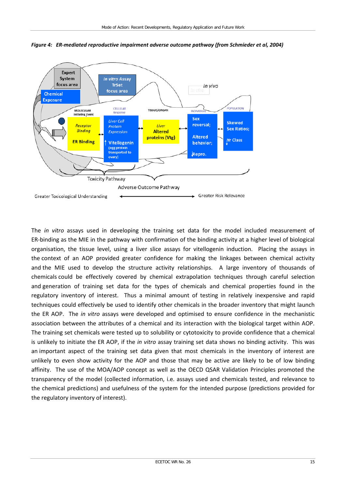

*Figure 4: ER-mediated reproductive impairment adverse outcome pathway (from Schmieder et al, 2004)*

The *in vitro* assays used in developing the training set data for the model included measurement of ER-binding as the MIE in the pathway with confirmation of the binding activity at a higher level of biological organisation, the tissue level, using a liver slice assays for vitellogenin induction. Placing the assays in the context of an AOP provided greater confidence for making the linkages between chemical activity and the MIE used to develop the structure activity relationships. A large inventory of thousands of chemicals could be effectively covered by chemical extrapolation techniques through careful selection and generation of training set data for the types of chemicals and chemical properties found in the regulatory inventory of interest. Thus a minimal amount of testing in relatively inexpensive and rapid techniques could effectively be used to identify other chemicals in the broader inventory that might launch the ER AOP. The *in vitro* assays were developed and optimised to ensure confidence in the mechanistic association between the attributes of a chemical and its interaction with the biological target within AOP. The training set chemicals were tested up to solubility or cytotoxicity to provide confidence that a chemical is unlikely to initiate the ER AOP, if the *in vitro* assay training set data shows no binding activity. This was an important aspect of the training set data given that most chemicals in the inventory of interest are unlikely to even show activity for the AOP and those that may be active are likely to be of low binding affinity. The use of the MOA/AOP concept as well as the OECD QSAR Validation Principles promoted the transparency of the model (collected information, i.e. assays used and chemicals tested, and relevance to the chemical predictions) and usefulness of the system for the intended purpose (predictions provided for the regulatory inventory of interest).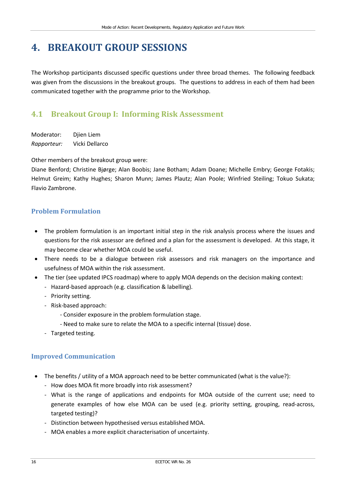# <span id="page-21-0"></span>**4. BREAKOUT GROUP SESSIONS**

The Workshop participants discussed specific questions under three broad themes. The following feedback was given from the discussions in the breakout groups. The questions to address in each of them had been communicated together with the programme prior to the Workshop.

## <span id="page-21-1"></span>**4.1 Breakout Group I: Informing Risk Assessment**

Moderator: Djien Liem *Rapporteur:* Vicki Dellarco

Other members of the breakout group were:

Diane Benford; Christine Bjørge; Alan Boobis; Jane Botham; Adam Doane; Michelle Embry; George Fotakis; Helmut Greim; Kathy Hughes; Sharon Munn; James Plautz; Alan Poole; Winfried Steiling; Tokuo Sukata; Flavio Zambrone.

### **Problem Formulation**

- The problem formulation is an important initial step in the risk analysis process where the issues and questions for the risk assessor are defined and a plan for the assessment is developed. At this stage, it may become clear whether MOA could be useful.
- There needs to be a dialogue between risk assessors and risk managers on the importance and usefulness of MOA within the risk assessment.
- The tier (see updated IPCS roadmap) where to apply MOA depends on the decision making context:
	- Hazard-based approach (e.g. classification & labelling).
	- Priority setting.
	- Risk-based approach:
		- Consider exposure in the problem formulation stage.
		- Need to make sure to relate the MOA to a specific internal (tissue) dose.
	- Targeted testing.

### **Improved Communication**

- The benefits / utility of a MOA approach need to be better communicated (what is the value?):
	- How does MOA fit more broadly into risk assessment?
	- What is the range of applications and endpoints for MOA outside of the current use; need to generate examples of how else MOA can be used (e.g. priority setting, grouping, read-across, targeted testing)?
	- Distinction between hypothesised versus established MOA.
	- MOA enables a more explicit characterisation of uncertainty.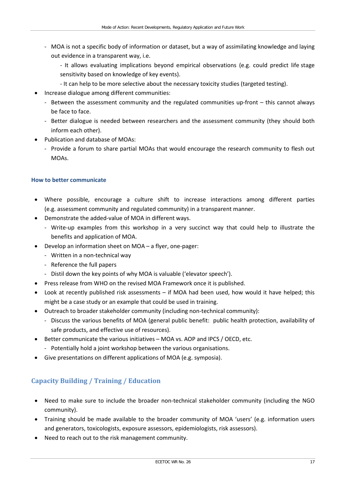- MOA is not a specific body of information or dataset, but a way of assimilating knowledge and laying out evidence in a transparent way, i.e.

- It allows evaluating implications beyond empirical observations (e.g. could predict life stage sensitivity based on knowledge of key events).

- It can help to be more selective about the necessary toxicity studies (targeted testing).
- Increase dialogue among different communities:
	- Between the assessment community and the regulated communities up-front this cannot always be face to face.
	- Better dialogue is needed between researchers and the assessment community (they should both inform each other).
- Publication and database of MOAs:
	- Provide a forum to share partial MOAs that would encourage the research community to flesh out MOAs.

### **How to better communicate**

- Where possible, encourage a culture shift to increase interactions among different parties (e.g. assessment community and regulated community) in a transparent manner.
- Demonstrate the added-value of MOA in different ways.
	- Write-up examples from this workshop in a very succinct way that could help to illustrate the benefits and application of MOA.
- Develop an information sheet on MOA a flyer, one-pager:
	- Written in a non-technical way
	- Reference the full papers
	- Distil down the key points of why MOA is valuable ('elevator speech').
- Press release from WHO on the revised MOA Framework once it is published.
- Look at recently published risk assessments if MOA had been used, how would it have helped; this might be a case study or an example that could be used in training.
- Outreach to broader stakeholder community (including non-technical community):
	- Discuss the various benefits of MOA (general public benefit: public health protection, availability of safe products, and effective use of resources).
- Better communicate the various initiatives MOA vs. AOP and IPCS / OECD, etc.
	- Potentially hold a joint workshop between the various organisations.
- Give presentations on different applications of MOA (e.g. symposia).

## **Capacity Building / Training / Education**

- Need to make sure to include the broader non-technical stakeholder community (including the NGO community).
- Training should be made available to the broader community of MOA 'users' (e.g. information users and generators, toxicologists, exposure assessors, epidemiologists, risk assessors).
- Need to reach out to the risk management community.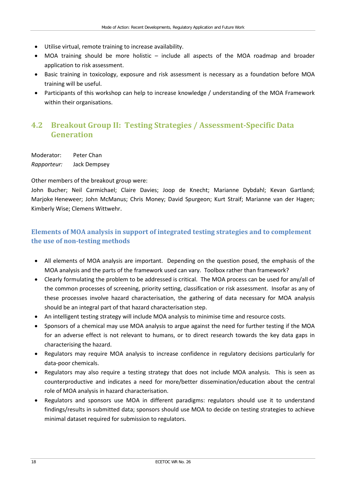- Utilise virtual, remote training to increase availability.
- MOA training should be more holistic include all aspects of the MOA roadmap and broader application to risk assessment.
- Basic training in toxicology, exposure and risk assessment is necessary as a foundation before MOA training will be useful.
- Participants of this workshop can help to increase knowledge / understanding of the MOA Framework within their organisations.

## <span id="page-23-0"></span>**4.2 Breakout Group II: Testing Strategies / Assessment-Specific Data Generation**

Moderator: Peter Chan *Rapporteur:* Jack Dempsey

Other members of the breakout group were:

John Bucher; Neil Carmichael; Claire Davies; Joop de Knecht; Marianne Dybdahl; Kevan Gartland; Marjoke Heneweer; John McManus; Chris Money; David Spurgeon; Kurt Straif; Marianne van der Hagen; Kimberly Wise; Clemens Wittwehr.

## **Elements of MOA analysis in support of integrated testing strategies and to complement the use of non-testing methods**

- All elements of MOA analysis are important. Depending on the question posed, the emphasis of the MOA analysis and the parts of the framework used can vary. Toolbox rather than framework?
- Clearly formulating the problem to be addressed is critical. The MOA process can be used for any/all of the common processes of screening, priority setting, classification or risk assessment. Insofar as any of these processes involve hazard characterisation, the gathering of data necessary for MOA analysis should be an integral part of that hazard characterisation step.
- An intelligent testing strategy will include MOA analysis to minimise time and resource costs.
- Sponsors of a chemical may use MOA analysis to argue against the need for further testing if the MOA for an adverse effect is not relevant to humans, or to direct research towards the key data gaps in characterising the hazard.
- Regulators may require MOA analysis to increase confidence in regulatory decisions particularly for data-poor chemicals.
- Regulators may also require a testing strategy that does not include MOA analysis. This is seen as counterproductive and indicates a need for more/better dissemination/education about the central role of MOA analysis in hazard characterisation.
- Regulators and sponsors use MOA in different paradigms: regulators should use it to understand findings/results in submitted data; sponsors should use MOA to decide on testing strategies to achieve minimal dataset required for submission to regulators.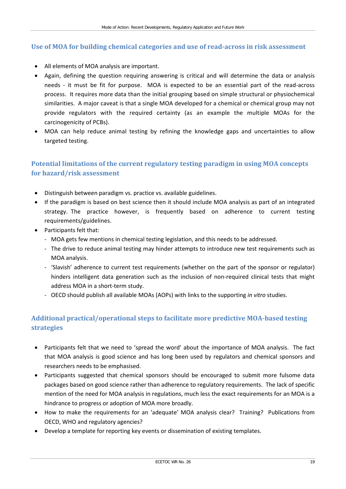### **Use of MOA for building chemical categories and use of read-across in risk assessment**

- All elements of MOA analysis are important.
- Again, defining the question requiring answering is critical and will determine the data or analysis needs - it must be fit for purpose. MOA is expected to be an essential part of the read-across process. It requires more data than the initial grouping based on simple structural or physiochemical similarities. A major caveat is that a single MOA developed for a chemical or chemical group may not provide regulators with the required certainty (as an example the multiple MOAs for the carcinogenicity of PCBs).
- MOA can help reduce animal testing by refining the knowledge gaps and uncertainties to allow targeted testing.

## **Potential limitations of the current regulatory testing paradigm in using MOA concepts for hazard/risk assessment**

- Distinguish between paradigm vs. practice vs. available guidelines.
- If the paradigm is based on best science then it should include MOA analysis as part of an integrated strategy. The practice however, is frequently based on adherence to current testing requirements/guidelines.
- Participants felt that:
	- MOA gets few mentions in chemical testing legislation, and this needs to be addressed.
	- The drive to reduce animal testing may hinder attempts to introduce new test requirements such as MOA analysis.
	- 'Slavish' adherence to current test requirements (whether on the part of the sponsor or regulator) hinders intelligent data generation such as the inclusion of non-required clinical tests that might address MOA in a short-term study.
	- OECD should publish all available MOAs (AOPs) with links to the supporting *in vitro* studies.

## **Additional practical/operational steps to facilitate more predictive MOA-based testing strategies**

- Participants felt that we need to 'spread the word' about the importance of MOA analysis. The fact that MOA analysis is good science and has long been used by regulators and chemical sponsors and researchers needs to be emphasised.
- Participants suggested that chemical sponsors should be encouraged to submit more fulsome data packages based on good science rather than adherence to regulatory requirements. The lack of specific mention of the need for MOA analysis in regulations, much less the exact requirements for an MOA is a hindrance to progress or adoption of MOA more broadly.
- How to make the requirements for an 'adequate' MOA analysis clear? Training? Publications from OECD, WHO and regulatory agencies?
- Develop a template for reporting key events or dissemination of existing templates.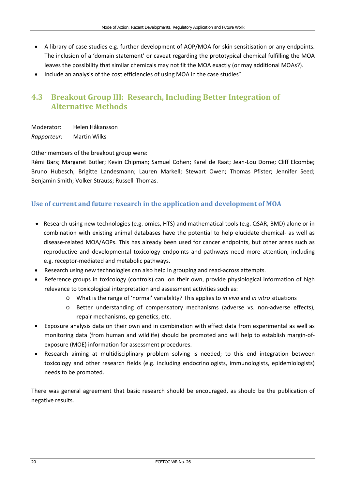- A library of case studies e.g. further development of AOP/MOA for skin sensitisation or any endpoints. The inclusion of a 'domain statement' or caveat regarding the prototypical chemical fulfilling the MOA leaves the possibility that similar chemicals may not fit the MOA exactly (or may additional MOAs?).
- Include an analysis of the cost efficiencies of using MOA in the case studies?

## <span id="page-25-0"></span>**4.3 Breakout Group III: Research, Including Better Integration of Alternative Methods**

Moderator: Helen Håkansson *Rapporteur:* Martin Wilks

Other members of the breakout group were:

Rémi Bars; Margaret Butler; Kevin Chipman; Samuel Cohen; Karel de Raat; Jean-Lou Dorne; Cliff Elcombe; Bruno Hubesch; Brigitte Landesmann; Lauren Markell; Stewart Owen; Thomas Pfister; Jennifer Seed; Benjamin Smith; Volker Strauss; Russell Thomas.

### **Use of current and future research in the application and development of MOA**

- Research using new technologies (e.g. omics, HTS) and mathematical tools (e.g. QSAR, BMD) alone or in combination with existing animal databases have the potential to help elucidate chemical- as well as disease-related MOA/AOPs. This has already been used for cancer endpoints, but other areas such as reproductive and developmental toxicology endpoints and pathways need more attention, including e.g. receptor-mediated and metabolic pathways.
- Research using new technologies can also help in grouping and read-across attempts.
- Reference groups in toxicology (controls) can, on their own, provide physiological information of high relevance to toxicological interpretation and assessment activities such as:
	- o What is the range of 'normal' variability? This applies to *in vivo* and *in vitro* situations
	- o Better understanding of compensatory mechanisms (adverse vs. non-adverse effects), repair mechanisms, epigenetics, etc.
- Exposure analysis data on their own and in combination with effect data from experimental as well as monitoring data (from human and wildlife) should be promoted and will help to establish margin-ofexposure (MOE) information for assessment procedures.
- Research aiming at multidisciplinary problem solving is needed; to this end integration between toxicology and other research fields (e.g. including endocrinologists, immunologists, epidemiologists) needs to be promoted.

There was general agreement that basic research should be encouraged, as should be the publication of negative results.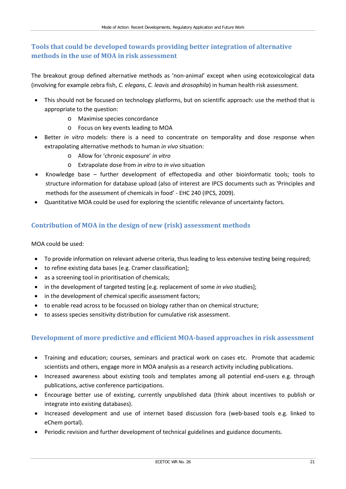## **Tools that could be developed towards providing better integration of alternative methods in the use of MOA in risk assessment**

The breakout group defined alternative methods as 'non-animal' except when using ecotoxicological data (involving for example zebra fish, *C. elegans*, *C. leavis* and *drosophila*) in human health risk assessment.

- This should not be focused on technology platforms, but on scientific approach: use the method that is appropriate to the question:
	- o Maximise species concordance
	- o Focus on key events leading to MOA
- Better *in vitro* models: there is a need to concentrate on temporality and dose response when extrapolating alternative methods to human *in vivo* situation:
	- o Allow for 'chronic exposure' *in vitro*
	- o Extrapolate dose from *in vitro* to *in vivo* situation
- Knowledge base further development of effectopedia and other bioinformatic tools; tools to structure information for database upload (also of interest are IPCS documents such as 'Principles and methods for the assessment of chemicals in food' - EHC 240 (IPCS, 2009).
- Quantitative MOA could be used for exploring the scientific relevance of uncertainty factors.

## **Contribution of MOA in the design of new (risk) assessment methods**

MOA could be used:

- To provide information on relevant adverse criteria, thus leading to less extensive testing being required;
- to refine existing data bases [e.g. Cramer classification];
- as a screening tool in prioritisation of chemicals;
- in the development of targeted testing [e.g. replacement of some *in vivo* studies];
- in the development of chemical specific assessment factors;
- to enable read across to be focussed on biology rather than on chemical structure;
- to assess species sensitivity distribution for cumulative risk assessment.

### **Development of more predictive and efficient MOA-based approaches in risk assessment**

- Training and education; courses, seminars and practical work on cases etc. Promote that academic scientists and others, engage more in MOA analysis as a research activity including publications.
- Increased awareness about existing tools and templates among all potential end-users e.g. through publications, active conference participations.
- Encourage better use of existing, currently unpublished data (think about incentives to publish or integrate into existing databases).
- Increased development and use of internet based discussion fora (web-based tools e.g. linked to eChem portal).
- Periodic revision and further development of technical guidelines and guidance documents.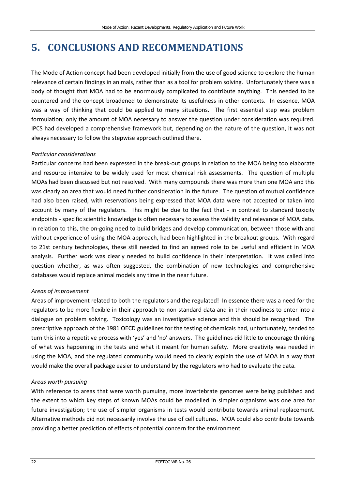# <span id="page-27-0"></span>**5. CONCLUSIONS AND RECOMMENDATIONS**

The Mode of Action concept had been developed initially from the use of good science to explore the human relevance of certain findings in animals, rather than as a tool for problem solving. Unfortunately there was a body of thought that MOA had to be enormously complicated to contribute anything. This needed to be countered and the concept broadened to demonstrate its usefulness in other contexts. In essence, MOA was a way of thinking that could be applied to many situations. The first essential step was problem formulation; only the amount of MOA necessary to answer the question under consideration was required. IPCS had developed a comprehensive framework but, depending on the nature of the question, it was not always necessary to follow the stepwise approach outlined there.

#### *Particular considerations*

Particular concerns had been expressed in the break-out groups in relation to the MOA being too elaborate and resource intensive to be widely used for most chemical risk assessments. The question of multiple MOAs had been discussed but not resolved. With many compounds there was more than one MOA and this was clearly an area that would need further consideration in the future. The question of mutual confidence had also been raised, with reservations being expressed that MOA data were not accepted or taken into account by many of the regulators. This might be due to the fact that - in contrast to standard toxicity endpoints - specific scientific knowledge is often necessary to assess the validity and relevance of MOA data. In relation to this, the on-going need to build bridges and develop communication, between those with and without experience of using the MOA approach, had been highlighted in the breakout groups. With regard to 21st century technologies, these still needed to find an agreed role to be useful and efficient in MOA analysis. Further work was clearly needed to build confidence in their interpretation. It was called into question whether, as was often suggested, the combination of new technologies and comprehensive databases would replace animal models any time in the near future.

#### *Areas of improvement*

Areas of improvement related to both the regulators and the regulated! In essence there was a need for the regulators to be more flexible in their approach to non-standard data and in their readiness to enter into a dialogue on problem solving. Toxicology was an investigative science and this should be recognised. The prescriptive approach of the 1981 OECD guidelines for the testing of chemicals had, unfortunately, tended to turn this into a repetitive process with 'yes' and 'no' answers. The guidelines did little to encourage thinking of what was happening in the tests and what it meant for human safety. More creativity was needed in using the MOA, and the regulated community would need to clearly explain the use of MOA in a way that would make the overall package easier to understand by the regulators who had to evaluate the data.

#### *Areas worth pursuing*

With reference to areas that were worth pursuing, more invertebrate genomes were being published and the extent to which key steps of known MOAs could be modelled in simpler organisms was one area for future investigation; the use of simpler organisms in tests would contribute towards animal replacement. Alternative methods did not necessarily involve the use of cell cultures. MOA could also contribute towards providing a better prediction of effects of potential concern for the environment.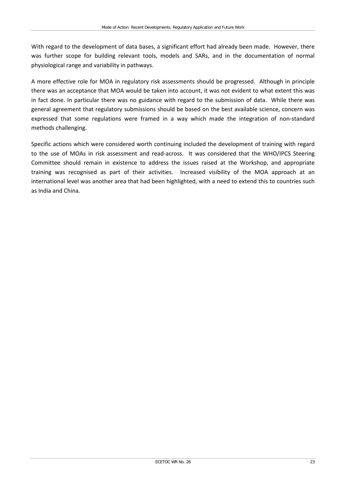With regard to the development of data bases, a significant effort had already been made. However, there was further scope for building relevant tools, models and SARs, and in the documentation of normal physiological range and variability in pathways.

A more effective role for MOA in regulatory risk assessments should be progressed. Although in principle there was an acceptance that MOA would be taken into account, it was not evident to what extent this was in fact done. In particular there was no guidance with regard to the submission of data. While there was general agreement that regulatory submissions should be based on the best available science, concern was expressed that some regulations were framed in a way which made the integration of non-standard methods challenging.

Specific actions which were considered worth continuing included the development of training with regard to the use of MOAs in risk assessment and read-across. It was considered that the WHO/IPCS Steering Committee should remain in existence to address the issues raised at the Workshop, and appropriate training was recognised as part of their activities. Increased visibility of the MOA approach at an international level was another area that had been highlighted, with a need to extend this to countries such as India and China.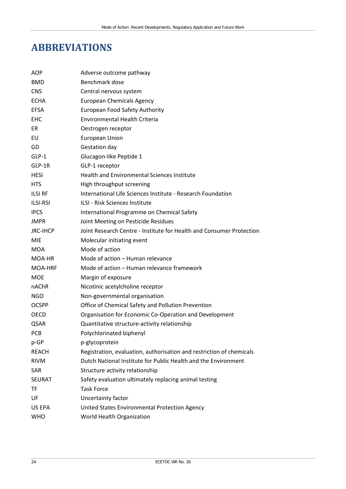# <span id="page-29-0"></span>**ABBREVIATIONS**

| AOP             | Adverse outcome pathway                                              |
|-----------------|----------------------------------------------------------------------|
| <b>BMD</b>      | Benchmark dose                                                       |
| <b>CNS</b>      | Central nervous system                                               |
| <b>ECHA</b>     | <b>European Chemicals Agency</b>                                     |
| <b>EFSA</b>     | European Food Safety Authority                                       |
| <b>EHC</b>      | <b>Environmental Health Criteria</b>                                 |
| ER              | Oestrogen receptor                                                   |
| EU              | <b>European Union</b>                                                |
| GD              | Gestation day                                                        |
| $GLP-1$         | Glucagon-like Peptide 1                                              |
| GLP-1R          | GLP-1 receptor                                                       |
| <b>HESI</b>     | <b>Health and Environmental Sciences Institute</b>                   |
| <b>HTS</b>      | High throughput screening                                            |
| <b>ILSI RF</b>  | International Life Sciences Institute - Research Foundation          |
| <b>ILSI-RSI</b> | ILSI - Risk Sciences Institute                                       |
| <b>IPCS</b>     | International Programme on Chemical Safety                           |
| <b>JMPR</b>     | Joint Meeting on Pesticide Residues                                  |
| <b>JRC-IHCP</b> | Joint Research Centre - Institute for Health and Consumer Protection |
| <b>MIE</b>      | Molecular initiating event                                           |
| <b>MOA</b>      | Mode of action                                                       |
| MOA-HR          | Mode of action - Human relevance                                     |
| MOA-HRF         | Mode of action - Human relevance framework                           |
| <b>MOE</b>      | Margin of exposure                                                   |
| nAChR           | Nicotinic acetylcholine receptor                                     |
| <b>NGO</b>      | Non-governmental organisation                                        |
| <b>OCSPP</b>    | Office of Chemical Safety and Pollution Prevention                   |
| <b>OECD</b>     | Organisation for Economic Co-Operation and Development               |
| QSAR            | Quantitative structure-activity relationship                         |
| PCB             | Polychlorinated biphenyl                                             |
| p-GP            | p-glycoprotein                                                       |
| <b>REACH</b>    | Registration, evaluation, authorisation and restriction of chemicals |
| <b>RIVM</b>     | Dutch National Institute for Public Health and the Environment       |
| <b>SAR</b>      | Structure activity relationship                                      |
| <b>SEURAT</b>   | Safety evaluation ultimately replacing animal testing                |
| TF              | <b>Task Force</b>                                                    |
| UF              | Uncertainty factor                                                   |
| US EPA          | United States Environmental Protection Agency                        |
| <b>WHO</b>      | World Health Organization                                            |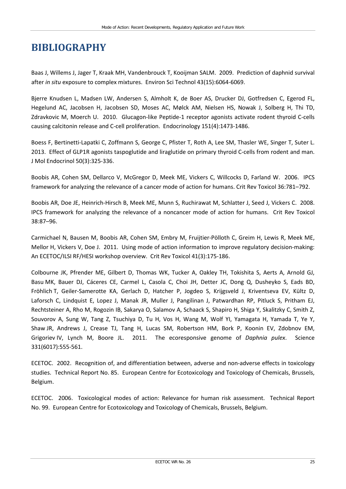# <span id="page-30-0"></span>**BIBLIOGRAPHY**

Baas J, Willems J, Jager T, Kraak MH, Vandenbrouck T, Kooijman SALM. 2009. Prediction of daphnid survival after *in situ* exposure to complex mixtures. Environ Sci Technol 43(15):6064-6069.

Bjerre Knudsen L, Madsen LW, Andersen S, Almholt K, de Boer AS, Drucker DJ, Gotfredsen C, Egerod FL, Hegelund AC, Jacobsen H, Jacobsen SD, Moses AC, Mølck AM, Nielsen HS, Nowak J, Solberg H, Thi TD, Zdravkovic M, Moerch U. 2010. Glucagon-like Peptide-1 receptor agonists activate rodent thyroid C-cells causing calcitonin release and C-cell proliferation. Endocrinology 151(4):1473-1486.

Boess F, Bertinetti-Lapatki C, Zoffmann S, George C, Pfister T, Roth A, Lee SM, Thasler WE, Singer T, Suter L. 2013. Effect of GLP1R agonists taspoglutide and liraglutide on primary thyroid C-cells from rodent and man. J Mol Endocrinol 50(3):325-336.

Boobis AR, Cohen SM, Dellarco V, McGregor D, Meek ME, Vickers C, Willcocks D, Farland W. 2006. IPCS framework for analyzing the relevance of a cancer mode of action for humans. Crit Rev Toxicol 36:781–792.

Boobis AR, Doe JE, Heinrich-Hirsch B, Meek ME, Munn S, Ruchirawat M, Schlatter J, Seed J, Vickers C. 2008. IPCS framework for analyzing the relevance of a noncancer mode of action for humans. Crit Rev Toxicol 38:87–96.

Carmichael N, Bausen M, Boobis AR, Cohen SM, Embry M, Fruijtier-Pölloth C, Greim H, Lewis R, Meek ME, Mellor H, Vickers V, Doe J. 2011. Using mode of action information to improve regulatory decision-making: An ECETOC/ILSI RF/HESI workshop overview. Crit Rev Toxicol 41(3):175-186.

Colbourne JK, Pfrender ME, Gilbert D, Thomas WK, Tucker A, Oakley TH, Tokishita S, Aerts A, Arnold GJ, Basu MK, Bauer DJ, Cáceres CE, Carmel L, Casola C, Choi JH, Detter JC, Dong Q, Dusheyko S, Eads BD, Fröhlich T, Geiler-Samerotte KA, Gerlach D, Hatcher P, Jogdeo S, Krijgsveld J, Kriventseva EV, Kültz D, Laforsch C, Lindquist E, Lopez J, Manak JR, Muller J, Pangilinan J, Patwardhan RP, Pitluck S, Pritham EJ, Rechtsteiner A, Rho M, Rogozin IB, Sakarya O, Salamov A, Schaack S, Shapiro H, Shiga Y, Skalitzky C, Smith Z, Souvorov A, Sung W, Tang Z, Tsuchiya D, Tu H, Vos H, Wang M, Wolf YI, Yamagata H, Yamada T, Ye Y, Shaw JR, Andrews J, Crease TJ, Tang H, Lucas SM, Robertson HM, Bork P, Koonin EV, Zdobnov EM, Grigoriev IV, Lynch M, Boore JL. 2011. The ecoresponsive genome of *Daphnia pulex*. Science 331(6017):555-561.

ECETOC. 2002. Recognition of, and differentiation between, adverse and non-adverse effects in toxicology studies. Technical Report No. 85. European Centre for Ecotoxicology and Toxicology of Chemicals, Brussels, Belgium.

ECETOC. 2006. Toxicological modes of action: Relevance for human risk assessment. Technical Report No. 99. European Centre for Ecotoxicology and Toxicology of Chemicals, Brussels, Belgium.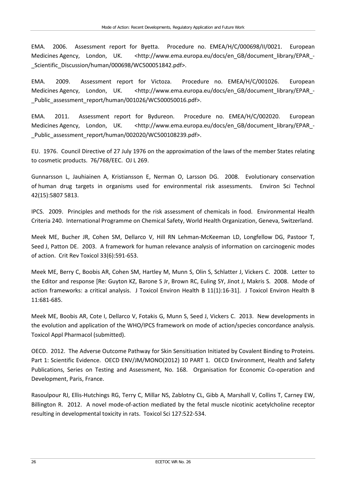EMA. 2006. Assessment report for Byetta. Procedure no. EMEA/H/C/000698/II/0021. European Medicines Agency, London, UK. <http://www.ema.europa.eu/docs/en GB/document library/EPAR -\_Scientific\_Discussion/human/000698/WC500051842.pdf>.

EMA. 2009. Assessment report for Victoza. Procedure no. EMEA/H/C/001026. European Medicines Agency, London, UK. <http://www.ema.europa.eu/docs/en\_GB/document\_library/EPAR\_-Public assessment report/human/001026/WC500050016.pdf>.

EMA. 2011. Assessment report for Bydureon. Procedure no. EMEA/H/C/002020. European Medicines Agency, London, UK. <http://www.ema.europa.eu/docs/en GB/document library/EPAR -\_Public\_assessment\_report/human/002020/WC500108239.pdf>.

EU. 1976. Council Directive of 27 July 1976 on the approximation of the laws of the member States relating to cosmetic products. 76/768/EEC. OJ L 269.

Gunnarsson L, Jauhiainen A, Kristiansson E, Nerman O, Larsson DG. 2008. Evolutionary conservation of human drug targets in organisms used for environmental risk assessments. Environ Sci Technol 42(15):5807 5813.

IPCS. 2009. Principles and methods for the risk assessment of chemicals in food. Environmental Health Criteria 240. International Programme on Chemical Safety, World Health Organization, Geneva, Switzerland.

Meek ME, Bucher JR, Cohen SM, Dellarco V, Hill RN Lehman-McKeeman LD, Longfellow DG, Pastoor T, Seed J, Patton DE. 2003. A framework for human relevance analysis of information on carcinogenic modes of action. Crit Rev Toxicol 33(6):591-653.

Meek ME, Berry C, Boobis AR, Cohen SM, Hartley M, Munn S, Olin S, Schlatter J, Vickers C. 2008. Letter to the Editor and response [Re: Guyton KZ, Barone S Jr, Brown RC, Euling SY, Jinot J, Makris S. 2008. Mode of action frameworks: a critical analysis. J Toxicol Environ Health B 11(1):16-31]. J Toxicol Environ Health B 11:681-685.

Meek ME, Boobis AR, Cote I, Dellarco V, Fotakis G, Munn S, Seed J, Vickers C. 2013. New developments in the evolution and application of the WHO/IPCS framework on mode of action/species concordance analysis. Toxicol Appl Pharmacol (submitted).

OECD. 2012. The Adverse Outcome Pathway for Skin Sensitisation Initiated by Covalent Binding to Proteins. Part 1: Scientific Evidence. OECD ENV/JM/MONO(2012) 10 PART 1. OECD Environment, Health and Safety Publications, Series on Testing and Assessment, No. 168. Organisation for Economic Co-operation and Development, Paris, France.

Rasoulpour RJ, Ellis-Hutchings RG, Terry C, Millar NS, Zablotny CL, Gibb A, Marshall V, Collins T, Carney EW, Billington R. 2012. A novel mode-of-action mediated by the fetal muscle nicotinic acetylcholine receptor resulting in developmental toxicity in rats. Toxicol Sci 127:522-534.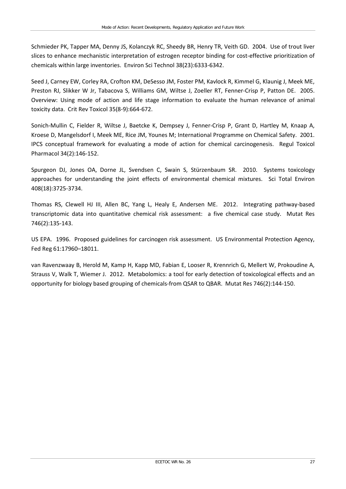Schmieder PK, Tapper MA, Denny JS, Kolanczyk RC, Sheedy BR, Henry TR, Veith GD. 2004. Use of trout liver slices to enhance mechanistic interpretation of estrogen receptor binding for cost-effective prioritization of chemicals within large inventories. Environ Sci Technol 38(23):6333-6342.

Seed J, Carney EW, Corley RA, Crofton KM, DeSesso JM, Foster PM, Kavlock R, Kimmel G, Klaunig J, Meek ME, Preston RJ, Slikker W Jr, Tabacova S, Williams GM, Wiltse J, Zoeller RT, Fenner-Crisp P, Patton DE. 2005. Overview: Using mode of action and life stage information to evaluate the human relevance of animal toxicity data. Crit Rev Toxicol 35(8-9):664-672.

Sonich-Mullin C, Fielder R, Wiltse J, Baetcke K, Dempsey J, Fenner-Crisp P, Grant D, Hartley M, Knaap A, Kroese D, Mangelsdorf I, Meek ME, Rice JM, Younes M; International Programme on Chemical Safety. 2001. IPCS conceptual framework for evaluating a mode of action for chemical carcinogenesis. Regul Toxicol Pharmacol 34(2):146-152.

Spurgeon DJ, Jones OA, Dorne JL, Svendsen C, Swain S, Stürzenbaum SR. 2010. Systems toxicology approaches for understanding the joint effects of environmental chemical mixtures. Sci Total Environ 408(18):3725-3734.

Thomas RS, Clewell HJ III, Allen BC, Yang L, Healy E, Andersen ME. 2012. Integrating pathway-based transcriptomic data into quantitative chemical risk assessment: a five chemical case study. Mutat Res 746(2):135-143.

US EPA. 1996. Proposed guidelines for carcinogen risk assessment. US Environmental Protection Agency, Fed Reg 61:17960–18011.

van Ravenzwaay B, Herold M, Kamp H, Kapp MD, Fabian E, Looser R, Krennrich G, Mellert W, Prokoudine A, Strauss V, Walk T, Wiemer J. 2012. [Metabolomics: a tool for early detection of toxicological effects and an](http://members.ecetoc.org/en/cust/documentrequest.aspx?DocID=6658)  [opportunity for biology based grouping of chemicals-from QSAR to QBAR.](http://members.ecetoc.org/en/cust/documentrequest.aspx?DocID=6658) Mutat Res 746(2):144-150.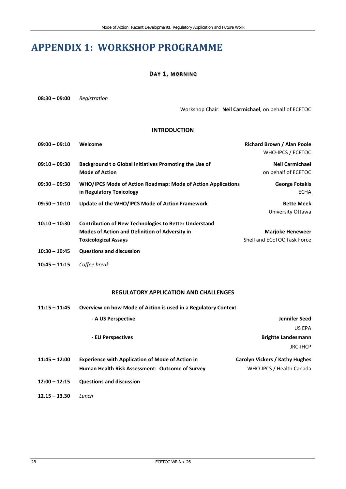# <span id="page-33-0"></span>**APPENDIX 1: WORKSHOP PROGRAMME**

#### **DAY 1, MORNING**

**08:30 – 09:00** *Registration*

Workshop Chair: **Neil Carmichael**, on behalf of ECETOC

#### **INTRODUCTION**

| $09:00 - 09:10$ | Welcome                                                                                                                                              | Richard Brown / Alan Poole<br>WHO-IPCS / ECETOC        |
|-----------------|------------------------------------------------------------------------------------------------------------------------------------------------------|--------------------------------------------------------|
| $09:10 - 09:30$ | Background to Global Initiatives Promoting the Use of<br><b>Mode of Action</b>                                                                       | <b>Neil Carmichael</b><br>on behalf of ECETOC          |
| $09:30 - 09:50$ | <b>WHO/IPCS Mode of Action Roadmap: Mode of Action Applications</b><br>in Regulatory Toxicology                                                      | <b>George Fotakis</b><br><b>ECHA</b>                   |
| $09:50 - 10:10$ | Update of the WHO/IPCS Mode of Action Framework                                                                                                      | <b>Bette Meek</b><br>University Ottawa                 |
| $10:10 - 10:30$ | <b>Contribution of New Technologies to Better Understand</b><br><b>Modes of Action and Definition of Adversity in</b><br><b>Toxicological Assays</b> | <b>Marjoke Heneweer</b><br>Shell and ECETOC Task Force |
| $10:30 - 10:45$ | <b>Questions and discussion</b>                                                                                                                      |                                                        |
| $10:45 - 11:15$ | Coffee break                                                                                                                                         |                                                        |

#### **REGULATORY APPLICATION AND CHALLENGES**

| $11:15 - 11:45$ | Overview on how Mode of Action is used in a Regulatory Context |                                |  |  |
|-----------------|----------------------------------------------------------------|--------------------------------|--|--|
|                 | - A US Perspective                                             | Jennifer Seed                  |  |  |
|                 |                                                                | US EPA                         |  |  |
|                 | - EU Perspectives                                              | <b>Brigitte Landesmann</b>     |  |  |
|                 |                                                                | <b>JRC-IHCP</b>                |  |  |
| $11:45 - 12:00$ | <b>Experience with Application of Mode of Action in</b>        | Carolyn Vickers / Kathy Hughes |  |  |
|                 | Human Health Risk Assessment: Outcome of Survey                | WHO-IPCS / Health Canada       |  |  |
| $12:00 - 12:15$ | <b>Questions and discussion</b>                                |                                |  |  |
| $12.15 - 13.30$ | Lunch                                                          |                                |  |  |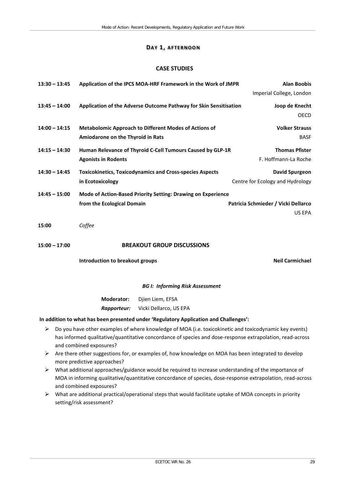#### **DAY 1, AFTERNOON**

#### **CASE STUDIES**

|       | $13:30 - 13:45$                                                                                                                                                                                                    |                                   | Application of the IPCS MOA-HRF Framework in the Work of JMPR                         | <b>Alan Boobis</b>                  |
|-------|--------------------------------------------------------------------------------------------------------------------------------------------------------------------------------------------------------------------|-----------------------------------|---------------------------------------------------------------------------------------|-------------------------------------|
|       |                                                                                                                                                                                                                    |                                   |                                                                                       | Imperial College, London            |
|       | $13:45 - 14:00$                                                                                                                                                                                                    |                                   | Application of the Adverse Outcome Pathway for Skin Sensitisation                     | Joop de Knecht                      |
|       |                                                                                                                                                                                                                    |                                   |                                                                                       | <b>OECD</b>                         |
|       | $14:00 - 14:15$                                                                                                                                                                                                    |                                   | <b>Metabolomic Approach to Different Modes of Actions of</b>                          | <b>Volker Strauss</b>               |
|       |                                                                                                                                                                                                                    | Amiodarone on the Thyroid in Rats |                                                                                       | <b>BASF</b>                         |
|       | $14:15 - 14:30$                                                                                                                                                                                                    |                                   | Human Relevance of Thyroid C-Cell Tumours Caused by GLP-1R                            | <b>Thomas Pfister</b>               |
|       |                                                                                                                                                                                                                    | <b>Agonists in Rodents</b>        |                                                                                       | F. Hoffmann-La Roche                |
|       | $14:30 - 14:45$                                                                                                                                                                                                    |                                   | <b>Toxicokinetics, Toxicodynamics and Cross-species Aspects</b>                       | <b>David Spurgeon</b>               |
|       |                                                                                                                                                                                                                    | in Ecotoxicology                  |                                                                                       | Centre for Ecology and Hydrology    |
|       | $14:45 - 15:00$                                                                                                                                                                                                    |                                   | Mode of Action-Based Priority Setting: Drawing on Experience                          |                                     |
|       |                                                                                                                                                                                                                    | from the Ecological Domain        |                                                                                       | Patricia Schmieder / Vicki Dellarco |
|       |                                                                                                                                                                                                                    |                                   |                                                                                       | US EPA                              |
| 15:00 |                                                                                                                                                                                                                    | Coffee                            |                                                                                       |                                     |
|       |                                                                                                                                                                                                                    |                                   |                                                                                       |                                     |
|       | $15:00 - 17:00$                                                                                                                                                                                                    |                                   | <b>BREAKOUT GROUP DISCUSSIONS</b>                                                     |                                     |
|       |                                                                                                                                                                                                                    | Introduction to breakout groups   |                                                                                       | <b>Neil Carmichael</b>              |
|       |                                                                                                                                                                                                                    |                                   |                                                                                       |                                     |
|       |                                                                                                                                                                                                                    |                                   | <b>BG I: Informing Risk Assessment</b>                                                |                                     |
|       |                                                                                                                                                                                                                    | <b>Moderator:</b>                 | Djien Liem, EFSA                                                                      |                                     |
|       |                                                                                                                                                                                                                    | Rapporteur:                       | Vicki Dellarco, US EPA                                                                |                                     |
|       |                                                                                                                                                                                                                    |                                   | In addition to what has been presented under 'Regulatory Application and Challenges': |                                     |
| ➤     | Do you have other examples of where knowledge of MOA (i.e. toxicokinetic and toxicodynamic key events)                                                                                                             |                                   |                                                                                       |                                     |
|       | has informed qualitative/quantitative concordance of species and dose-response extrapolation, read-across<br>and combined exposures?                                                                               |                                   |                                                                                       |                                     |
| ➤     | Are there other suggestions for, or examples of, how knowledge on MOA has been integrated to develop                                                                                                               |                                   |                                                                                       |                                     |
|       |                                                                                                                                                                                                                    | more predictive approaches?       |                                                                                       |                                     |
| ➤     | What additional approaches/guidance would be required to increase understanding of the importance of<br>MOA in informing qualitative/quantitative concordance of species, dose-response extrapolation, read-across |                                   |                                                                                       |                                     |

 What are additional practical/operational steps that would facilitate uptake of MOA concepts in priority setting/risk assessment?

and combined exposures?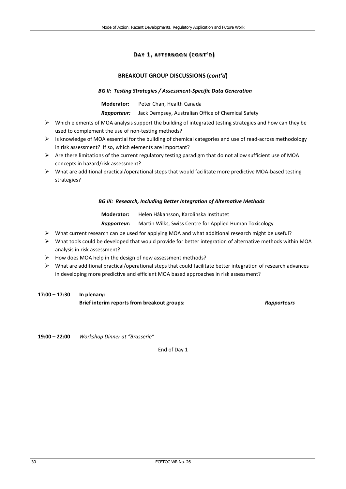### **DAY 1, AFTERNOON (CONT'D)**

#### **BREAKOUT GROUP DISCUSSIONS (***cont'd***)**

#### *BG II: Testing Strategies / Assessment-Specific Data Generation*

**Moderator:** Peter Chan, Health Canada

*Rapporteur:* Jack Dempsey, Australian Office of Chemical Safety

- Which elements of MOA analysis support the building of integrated testing strategies and how can they be used to complement the use of non-testing methods?
- Is knowledge of MOA essential for the building of chemical categories and use of read-across methodology in risk assessment? If so, which elements are important?
- Are there limitations of the current regulatory testing paradigm that do not allow sufficient use of MOA concepts in hazard/risk assessment?
- $\triangleright$  What are additional practical/operational steps that would facilitate more predictive MOA-based testing strategies?

#### *BG III: Research, Including Better Integration of Alternative Methods*

**Moderator:** Helen Håkansson, Karolinska Institutet

*Rapporteur:* Martin Wilks, Swiss Centre for Applied Human Toxicology

- $\triangleright$  What current research can be used for applying MOA and what additional research might be useful?
- $\triangleright$  What tools could be developed that would provide for better integration of alternative methods within MOA analysis in risk assessment?
- $\triangleright$  How does MOA help in the design of new assessment methods?
- $\triangleright$  What are additional practical/operational steps that could facilitate better integration of research advances in developing more predictive and efficient MOA based approaches in risk assessment?

### **17:00 – 17:30 In plenary: Brief interim reports from breakout groups:** *Rapporteurs*

**19:00 – 22:00** *Workshop Dinner at "Brasserie"*

End of Day 1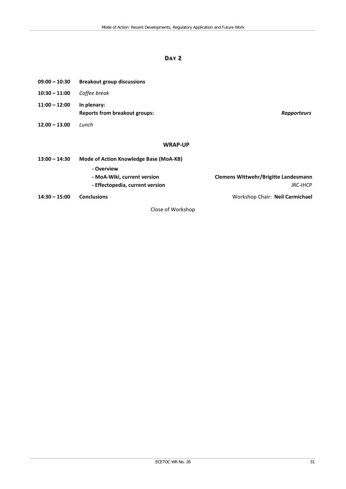### **DAY 2**

| $09:00 - 10:30$ | <b>Breakout group discussions</b>                   |                                      |
|-----------------|-----------------------------------------------------|--------------------------------------|
| $10:30 - 11:00$ | Coffee break                                        |                                      |
| $11:00 - 12:00$ | In plenary:<br><b>Reports from breakout groups:</b> | <b>Rapporteurs</b>                   |
| $12.00 - 13.00$ | Lunch                                               |                                      |
|                 | <b>WRAP-UP</b>                                      |                                      |
| $13:00 - 14:30$ | Mode of Action Knowledge Base (MoA-KB)              |                                      |
|                 | - Overview<br>- MoA-Wiki, current version           | Clemens Wittwehr/Brigitte Landesmann |

**- Effectopedia, current version** JRC-IHCP

**14:30 – 15:00 Conclusions** Workshop Chair: **Neil Carmichael**

Close of Workshop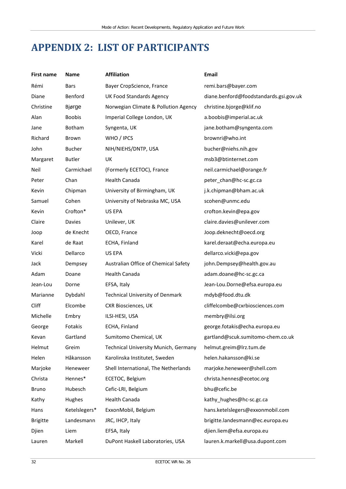# <span id="page-37-0"></span>**APPENDIX 2: LIST OF PARTICIPANTS**

| <b>First name</b> | Name          | <b>Affiliation</b>                          | <b>Email</b>                           |
|-------------------|---------------|---------------------------------------------|----------------------------------------|
| Rémi              | Bars          | Bayer CropScience, France                   | remi.bars@bayer.com                    |
| Diane             | Benford       | <b>UK Food Standards Agency</b>             | diane.benford@foodstandards.gsi.gov.uk |
| Christine         | Bjørge        | Norwegian Climate & Pollution Agency        | christine.bjorge@klif.no               |
| Alan              | <b>Boobis</b> | Imperial College London, UK                 | a.boobis@imperial.ac.uk                |
| Jane              | Botham        | Syngenta, UK                                | jane.botham@syngenta.com               |
| Richard           | Brown         | WHO / IPCS                                  | brownri@who.int                        |
| John              | <b>Bucher</b> | NIH/NIEHS/DNTP, USA                         | bucher@niehs.nih.gov                   |
| Margaret          | <b>Butler</b> | UK                                          | msb3@btinternet.com                    |
| Neil              | Carmichael    | (Formerly ECETOC), France                   | neil.carmichael@orange.fr              |
| Peter             | Chan          | Health Canada                               | peter_chan@hc-sc.gc.ca                 |
| Kevin             | Chipman       | University of Birmingham, UK                | j.k.chipman@bham.ac.uk                 |
| Samuel            | Cohen         | University of Nebraska MC, USA              | scohen@unmc.edu                        |
| Kevin             | Crofton*      | US EPA                                      | crofton.kevin@epa.gov                  |
| Claire            | <b>Davies</b> | Unilever, UK                                | claire.davies@unilever.com             |
| Joop              | de Knecht     | OECD, France                                | Joop.deknecht@oecd.org                 |
| Karel             | de Raat       | ECHA, Finland                               | karel.deraat@echa.europa.eu            |
| Vicki             | Dellarco      | US EPA                                      | dellarco.vicki@epa.gov                 |
| Jack              | Dempsey       | Australian Office of Chemical Safety        | john.Dempsey@health.gov.au             |
| Adam              | Doane         | Health Canada                               | adam.doane@hc-sc.gc.ca                 |
| Jean-Lou          | Dorne         | EFSA, Italy                                 | Jean-Lou.Dorne@efsa.europa.eu          |
| Marianne          | Dybdahl       | <b>Technical University of Denmark</b>      | mdyb@food.dtu.dk                       |
| Cliff             | Elcombe       | <b>CXR Biosciences, UK</b>                  | cliffelcombe@cxrbiosciences.com        |
| Michelle          | Embry         | ILSI-HESI, USA                              | membry@ilsi.org                        |
| George            | Fotakis       | ECHA, Finland                               | george.fotakis@echa.europa.eu          |
| Kevan             | Gartland      | Sumitomo Chemical, UK                       | gartland@scuk.sumitomo-chem.co.uk      |
| Helmut            | Greim         | <b>Technical University Munich, Germany</b> | helmut.greim@lrz.tum.de                |
| Helen             | Håkansson     | Karolinska Institutet, Sweden               | helen.hakansson@ki.se                  |
| Marjoke           | Heneweer      | Shell International, The Netherlands        | marjoke.heneweer@shell.com             |
| Christa           | Hennes*       | ECETOC, Belgium                             | christa.hennes@ecetoc.org              |
| <b>Bruno</b>      | Hubesch       | Cefic-LRI, Belgium                          | bhu@cefic.be                           |
| Kathy             | Hughes        | Health Canada                               | kathy_hughes@hc-sc.gc.ca               |
| Hans              | Ketelslegers* | ExxonMobil, Belgium                         | hans.ketelslegers@exxonmobil.com       |
| <b>Brigitte</b>   | Landesmann    | JRC, IHCP, Italy                            | brigitte.landesmann@ec.europa.eu       |
| Djien             | Liem          | EFSA, Italy                                 | djien.liem@efsa.europa.eu              |
| Lauren            | Markell       | DuPont Haskell Laboratories, USA            | lauren.k.markell@usa.dupont.com        |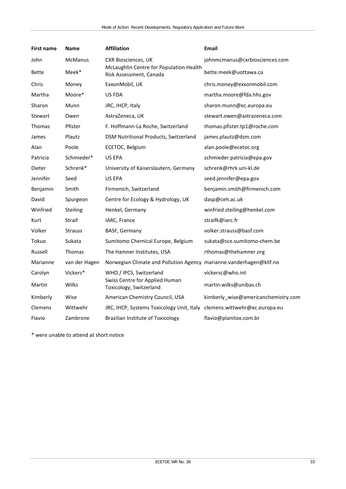| <b>First name</b> | <b>Name</b>    | <b>Affiliation</b>                                                      | <b>Email</b>                        |
|-------------------|----------------|-------------------------------------------------------------------------|-------------------------------------|
| John              | <b>McManus</b> | <b>CXR Biosciences, UK</b>                                              | johnmcmanus@cxrbiosciences.com      |
| <b>Bette</b>      | Meek*          | McLaughlin Centre for Population Health<br>Risk Assessment, Canada      | bette.meek@uottawa.ca               |
| Chris             | Money          | ExxonMobil, UK                                                          | chris.money@exxonmobil.com          |
| Martha            | Moore*         | US FDA                                                                  | martha.moore@fda.hhs.gov            |
| Sharon            | Munn           | JRC, IHCP, Italy                                                        | sharon.munn@ec.europa.eu            |
| Stewart           | Owen           | AstraZeneca, UK                                                         | stewart.owen@astrazeneca.com        |
| <b>Thomas</b>     | Pfister        | F. Hoffmann-La Roche, Switzerland                                       | thomas.pfister.tp1@roche.com        |
| James             | Plautz         | DSM Nutritional Products, Switzerland                                   | james.plautz@dsm.com                |
| Alan              | Poole          | ECETOC, Belgium                                                         | alan.poole@ecetoc.org               |
| Patricia          | Schmieder*     | US EPA                                                                  | schmieder.patricia@epa.gov          |
| Dieter            | Schrenk*       | University of Kaiserslautern, Germany                                   | schrenk@rhrk.uni-kl.de              |
| Jennifer          | Seed           | US EPA                                                                  | seed.jennifer@epa.gov               |
| Benjamin          | Smith          | Firmenich, Switzerland                                                  | benjamin.smith@firmenich.com        |
| David             | Spurgeon       | Centre for Ecology & Hydrology, UK                                      | dasp@ceh.ac.uk                      |
| Winfried          | Steiling       | Henkel, Germany                                                         | winfried.steiling@henkel.com        |
| Kurt              | Straif         | IARC, France                                                            | straifk@iarc.fr                     |
| Volker            | <b>Strauss</b> | BASF, Germany                                                           | volker.strauss@basf.com             |
| Tokuo             | Sukata         | Sumitomo Chemical Europe, Belgium                                       | sukata@sce.sumitomo-chem.be         |
| Russell           | Thomas         | The Hamner Institutes, USA                                              | rthomas@thehamner.org               |
| Marianne          | van der Hagen  | Norwegian Climate and Pollution Agency marianne.vanderhagen@klif.no     |                                     |
| Carolyn           | Vickers*       | WHO / IPCS, Switzerland                                                 | vickersc@who.int                    |
| Martin            | Wilks          | Swiss Centre for Applied Human<br>Toxicology, Switzerland               | martin.wilks@unibas.ch              |
| Kimberly          | Wise           | American Chemistry Council, USA                                         | kimberly_wise@americanchemistry.com |
| Clemens           | Wittwehr       | JRC, IHCP, Systems Toxicology Unit, Italy clemens.wittwehr@ec.europa.eu |                                     |
| Flavio            | Zambrone       | <b>Brazilian Institute of Toxicology</b>                                | flavio@planitox.com.br              |

\* were unable to attend at short notice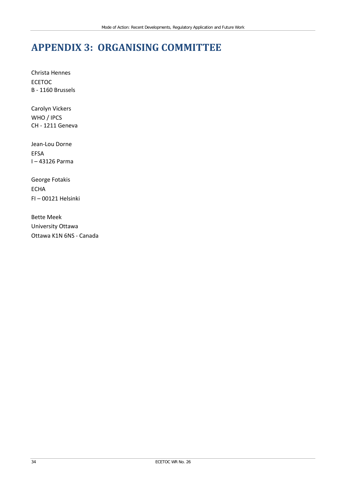# <span id="page-39-0"></span>**APPENDIX 3: ORGANISING COMMITTEE**

Christa Hennes ECETOC B - 1160 Brussels

Carolyn Vickers WHO / IPCS CH - 1211 Geneva

Jean-Lou Dorne EFSA I – 43126 Parma

George Fotakis ECHA FI – 00121 Helsinki

Bette Meek University Ottawa Ottawa K1N 6NS - Canada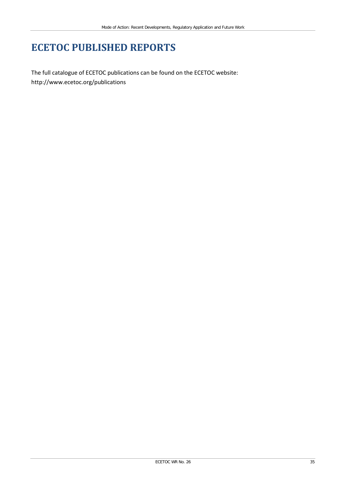# **ECETOC PUBLISHED REPORTS**

The full catalogue of ECETOC publications can be found on the ECETOC website: <http://www.ecetoc.org/publications>